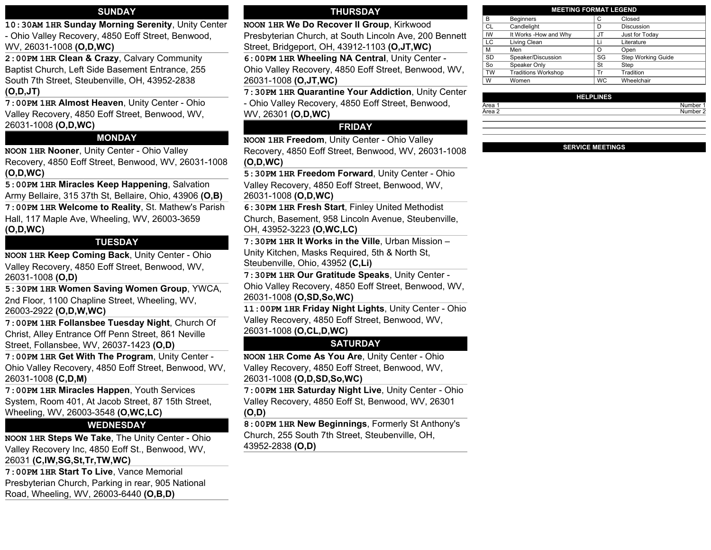#### **SUNDAY**

**10:30AM 1HR Sunday Morning Serenity**, Unity Center - Ohio Valley Recovery, 4850 Eoff Street, Benwood, WV, 26031-1008 **(O,D,WC)**

**2:00PM 1HR Clean & Crazy**, Calvary Community Baptist Church, Left Side Basement Entrance, 255 South 7th Street, Steubenville, OH, 43952-2838 **(O,D,JT)**

**7:00PM 1HR Almost Heaven**, Unity Center - Ohio Valley Recovery, 4850 Eoff Street, Benwood, WV, 26031-1008 **(O,D,WC)**

### **MONDAY**

**NOON 1HR Nooner**, Unity Center - Ohio Valley Recovery, 4850 Eoff Street, Benwood, WV, 26031-1008 **(O,D,WC)**

**5:00PM 1HR Miracles Keep Happening**, Salvation Army Bellaire, 315 37th St, Bellaire, Ohio, 43906 **(O,B) 7:00PM 1HR Welcome to Reality**, St. Mathew's Parish Hall, 117 Maple Ave, Wheeling, WV, 26003-3659 **(O,D,WC)**

#### **TUESDAY**

**NOON 1HR Keep Coming Back**, Unity Center - Ohio Valley Recovery, 4850 Eoff Street, Benwood, WV, 26031-1008 **(O,D)**

**5:30PM 1HR Women Saving Women Group**, YWCA, 2nd Floor, 1100 Chapline Street, Wheeling, WV, 26003-2922 **(O,D,W,WC)**

**7:00PM 1HR Follansbee Tuesday Night**, Church Of Christ, Alley Entrance Off Penn Street, 861 Neville Street, Follansbee, WV, 26037-1423 **(O,D)**

**7:00PM 1HR Get With The Program**, Unity Center - Ohio Valley Recovery, 4850 Eoff Street, Benwood, WV, 26031-1008 **(C,D,M)**

**7:00PM 1HR Miracles Happen**, Youth Services System, Room 401, At Jacob Street, 87 15th Street, Wheeling, WV, 26003-3548 **(O,WC,LC)**

#### **WEDNESDAY**

**NOON 1HR Steps We Take**, The Unity Center - Ohio Valley Recovery Inc, 4850 Eoff St., Benwood, WV, 26031 **(C,IW,SG,St,Tr,TW,WC)**

**7:00PM 1HR Start To Live**, Vance Memorial Presbyterian Church, Parking in rear, 905 National Road, Wheeling, WV, 26003-6440 **(O,B,D)**

#### **THURSDAY**

**NOON 1HR We Do Recover II Group**, Kirkwood Presbyterian Church, at South Lincoln Ave, 200 Bennett

Street, Bridgeport, OH, 43912-1103 **(O,JT,WC) 6:00PM 1HR Wheeling NA Central**, Unity Center -

Ohio Valley Recovery, 4850 Eoff Street, Benwood, WV, 26031-1008 **(O,JT,WC)**

**7:30PM 1HR Quarantine Your Addiction**, Unity Center - Ohio Valley Recovery, 4850 Eoff Street, Benwood, WV, 26301 **(O,D,WC)**

#### **FRIDAY**

**NOON 1HR Freedom**, Unity Center - Ohio Valley Recovery, 4850 Eoff Street, Benwood, WV, 26031-1008 **(O,D,WC)**

**5:30PM 1HR Freedom Forward**, Unity Center - Ohio Valley Recovery, 4850 Eoff Street, Benwood, WV, 26031-1008 **(O,D,WC)**

**6:30PM 1HR Fresh Start**, Finley United Methodist Church, Basement, 958 Lincoln Avenue, Steubenville, OH, 43952-3223 **(O,WC,LC)**

**7:30PM 1HR It Works in the Ville**, Urban Mission – Unity Kitchen, Masks Required, 5th & North St, Steubenville, Ohio, 43952 **(C,Li)**

**7:30PM 1HR Our Gratitude Speaks**, Unity Center - Ohio Valley Recovery, 4850 Eoff Street, Benwood, WV, 26031-1008 **(O,SD,So,WC)**

**11:00PM 1HR Friday Night Lights**, Unity Center - Ohio Valley Recovery, 4850 Eoff Street, Benwood, WV, 26031-1008 **(O,CL,D,WC)**

### **SATURDAY**

**NOON 1HR Come As You Are**, Unity Center - Ohio Valley Recovery, 4850 Eoff Street, Benwood, WV, 26031-1008 **(O,D,SD,So,WC)**

**7:00PM 1HR Saturday Night Live**, Unity Center - Ohio Valley Recovery, 4850 Eoff St, Benwood, WV, 26301 **(O,D)**

**8:00PM 1HR New Beginnings**, Formerly St Anthony's Church, 255 South 7th Street, Steubenville, OH, 43952-2838 **(O,D)**

| <b>MEETING FORMAT LEGEND</b> |                            |           |                    |  |
|------------------------------|----------------------------|-----------|--------------------|--|
| в                            | <b>Beginners</b>           | С         | Closed             |  |
| <b>CL</b>                    | Candlelight                | D         | <b>Discussion</b>  |  |
| IW                           | It Works - How and Why     | JT        | Just for Today     |  |
| LC                           | Living Clean               | Li        | Literature         |  |
| M                            | Men                        | O         | Open               |  |
| <b>SD</b>                    | Speaker/Discussion         | SG        | Step Working Guide |  |
| So                           | Speaker Only               | St        | Step               |  |
| <b>TW</b>                    | <b>Traditions Workshop</b> | Tr        | Tradition          |  |
| W                            | Women                      | <b>WC</b> | Wheelchair         |  |

|        | <b>HELPLINES</b> |          |
|--------|------------------|----------|
| Area 1 |                  | Number 1 |
| Area 2 |                  | Number 2 |
|        |                  |          |

#### **SERVICE MEETINGS**